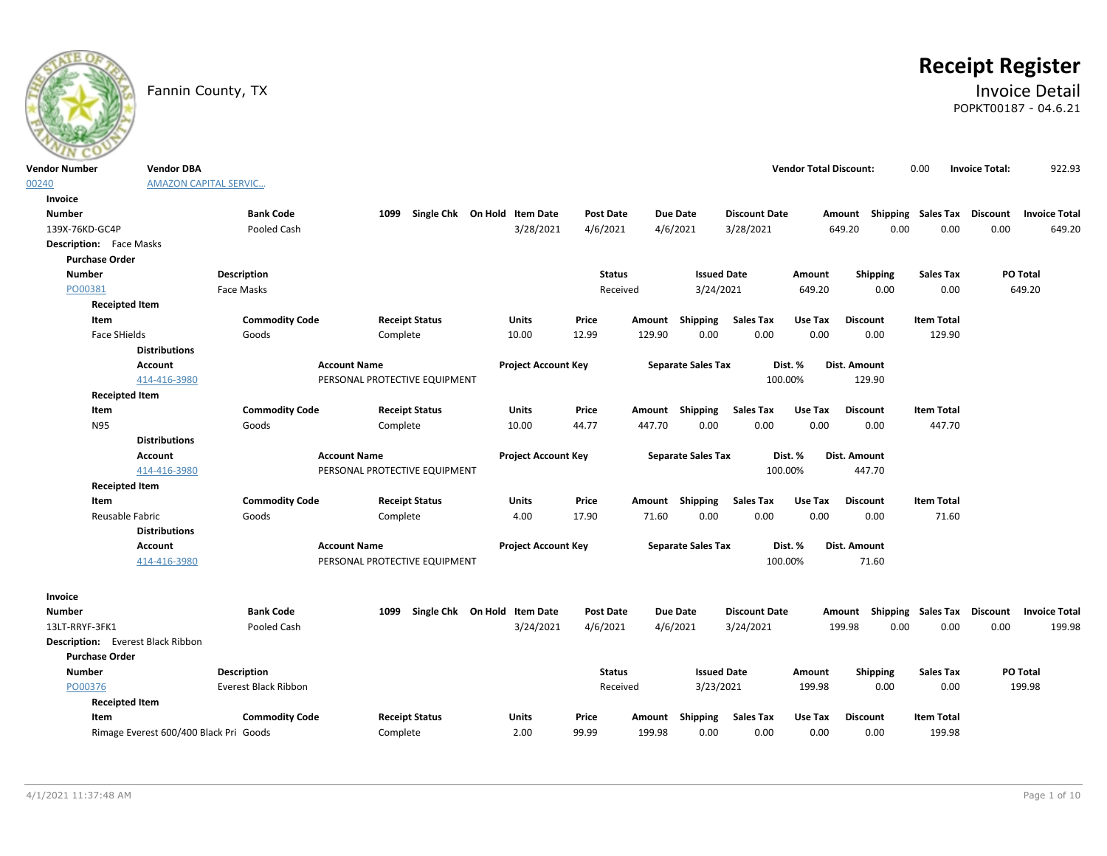

# **Receipt Register**

# Fannin County, TX **Invoice Detail** POPKT00187 - 04.6.21

| <b>Vendor Number</b>                     | <b>Vendor DBA</b>                      |                       |                               |                              |                  |        |                           |                      | <b>Vendor Total Discount:</b> |                                                  | 0.00              | <b>Invoice Total:</b> | 922.93               |
|------------------------------------------|----------------------------------------|-----------------------|-------------------------------|------------------------------|------------------|--------|---------------------------|----------------------|-------------------------------|--------------------------------------------------|-------------------|-----------------------|----------------------|
| 00240                                    | <b>AMAZON CAPITAL SERVIC</b>           |                       |                               |                              |                  |        |                           |                      |                               |                                                  |                   |                       |                      |
| Invoice                                  |                                        |                       |                               |                              |                  |        |                           |                      |                               |                                                  |                   |                       |                      |
| <b>Number</b>                            |                                        | <b>Bank Code</b>      | 1099                          | Single Chk On Hold Item Date | <b>Post Date</b> |        | <b>Due Date</b>           | <b>Discount Date</b> |                               | Amount Shipping Sales Tax Discount Invoice Total |                   |                       |                      |
| 139X-76KD-GC4P                           |                                        | Pooled Cash           |                               | 3/28/2021                    | 4/6/2021         |        | 4/6/2021                  | 3/28/2021            |                               | 0.00<br>649.20                                   | 0.00              | 0.00                  | 649.20               |
| <b>Description:</b> Face Masks           |                                        |                       |                               |                              |                  |        |                           |                      |                               |                                                  |                   |                       |                      |
| <b>Purchase Order</b>                    |                                        |                       |                               |                              |                  |        |                           |                      |                               |                                                  |                   |                       |                      |
| <b>Number</b>                            |                                        | <b>Description</b>    |                               |                              | <b>Status</b>    |        | <b>Issued Date</b>        |                      | Amount                        | Shipping                                         | <b>Sales Tax</b>  |                       | PO Total             |
| PO00381                                  |                                        | Face Masks            |                               |                              | Received         |        | 3/24/2021                 |                      | 649.20                        | 0.00                                             | 0.00              |                       | 649.20               |
| <b>Receipted Item</b>                    |                                        |                       |                               |                              |                  |        |                           |                      |                               |                                                  |                   |                       |                      |
| Item                                     |                                        | <b>Commodity Code</b> | <b>Receipt Status</b>         | Units                        | Price            |        | Amount Shipping           | <b>Sales Tax</b>     | Use Tax                       | <b>Discount</b>                                  | <b>Item Total</b> |                       |                      |
| Face SHields                             |                                        | Goods                 | Complete                      | 10.00                        | 12.99            | 129.90 | 0.00                      | 0.00                 | 0.00                          | 0.00                                             | 129.90            |                       |                      |
|                                          | <b>Distributions</b>                   |                       |                               |                              |                  |        |                           |                      |                               |                                                  |                   |                       |                      |
|                                          | <b>Account</b>                         |                       | <b>Account Name</b>           | <b>Project Account Key</b>   |                  |        | <b>Separate Sales Tax</b> |                      | Dist. %                       | Dist. Amount                                     |                   |                       |                      |
|                                          | 414-416-3980                           |                       | PERSONAL PROTECTIVE EQUIPMENT |                              |                  |        |                           |                      | 100.00%                       | 129.90                                           |                   |                       |                      |
| <b>Receipted Item</b>                    |                                        |                       |                               |                              |                  |        |                           |                      |                               |                                                  |                   |                       |                      |
| Item                                     |                                        | <b>Commodity Code</b> | <b>Receipt Status</b>         | Units                        | Price            |        | Amount Shipping           | <b>Sales Tax</b>     | Use Tax                       | <b>Discount</b>                                  | <b>Item Total</b> |                       |                      |
| N95                                      |                                        | Goods                 | Complete                      | 10.00                        | 44.77            | 447.70 | 0.00                      | 0.00                 | 0.00                          | 0.00                                             | 447.70            |                       |                      |
|                                          | <b>Distributions</b>                   |                       |                               |                              |                  |        |                           |                      |                               |                                                  |                   |                       |                      |
|                                          | <b>Account</b>                         |                       | <b>Account Name</b>           | <b>Project Account Key</b>   |                  |        | <b>Separate Sales Tax</b> |                      | Dist. %                       | Dist. Amount                                     |                   |                       |                      |
|                                          | 414-416-3980                           |                       | PERSONAL PROTECTIVE EQUIPMENT |                              |                  |        |                           |                      | 100.00%                       | 447.70                                           |                   |                       |                      |
| <b>Receipted Item</b>                    |                                        |                       |                               |                              |                  |        |                           |                      |                               |                                                  |                   |                       |                      |
| Item                                     |                                        | <b>Commodity Code</b> | <b>Receipt Status</b>         | <b>Units</b>                 | Price            |        | Amount Shipping           | <b>Sales Tax</b>     | Use Tax                       | <b>Discount</b>                                  | <b>Item Total</b> |                       |                      |
| Reusable Fabric                          |                                        | Goods                 | Complete                      | 4.00                         | 17.90            | 71.60  | 0.00                      | 0.00                 | 0.00                          | 0.00                                             | 71.60             |                       |                      |
|                                          | <b>Distributions</b>                   |                       |                               |                              |                  |        |                           |                      |                               |                                                  |                   |                       |                      |
|                                          | <b>Account</b>                         |                       | <b>Account Name</b>           | <b>Project Account Key</b>   |                  |        | <b>Separate Sales Tax</b> |                      | Dist. %                       | Dist. Amount                                     |                   |                       |                      |
|                                          | 414-416-3980                           |                       | PERSONAL PROTECTIVE EQUIPMENT |                              |                  |        |                           |                      | 100.00%                       | 71.60                                            |                   |                       |                      |
| Invoice                                  |                                        |                       |                               |                              |                  |        |                           |                      |                               |                                                  |                   |                       |                      |
| <b>Number</b>                            |                                        | <b>Bank Code</b>      | 1099                          | Single Chk On Hold Item Date | <b>Post Date</b> |        | <b>Due Date</b>           | <b>Discount Date</b> |                               | Amount Shipping Sales Tax Discount               |                   |                       | <b>Invoice Total</b> |
| 13LT-RRYF-3FK1                           |                                        | Pooled Cash           |                               | 3/24/2021                    | 4/6/2021         |        | 4/6/2021                  | 3/24/2021            |                               | 199.98<br>0.00                                   | 0.00              | 0.00                  | 199.98               |
| <b>Description:</b> Everest Black Ribbon |                                        |                       |                               |                              |                  |        |                           |                      |                               |                                                  |                   |                       |                      |
| <b>Purchase Order</b>                    |                                        |                       |                               |                              |                  |        |                           |                      |                               |                                                  |                   |                       |                      |
| <b>Number</b>                            |                                        | <b>Description</b>    |                               |                              | <b>Status</b>    |        | <b>Issued Date</b>        |                      | Amount                        | <b>Shipping</b>                                  | <b>Sales Tax</b>  |                       | PO Total             |
| PO00376                                  |                                        | Everest Black Ribbon  |                               |                              | Received         |        | 3/23/2021                 |                      | 199.98                        | 0.00                                             | 0.00              |                       | 199.98               |
| <b>Receipted Item</b>                    |                                        |                       |                               |                              |                  |        |                           |                      |                               |                                                  |                   |                       |                      |
| Item                                     |                                        | <b>Commodity Code</b> | <b>Receipt Status</b>         | Units                        | Price            | Amount | Shipping                  | <b>Sales Tax</b>     | Use Tax                       | <b>Discount</b>                                  | <b>Item Total</b> |                       |                      |
|                                          | Rimage Everest 600/400 Black Pri Goods |                       | Complete                      | 2.00                         | 99.99            | 199.98 | 0.00                      | 0.00                 | 0.00                          | 0.00                                             | 199.98            |                       |                      |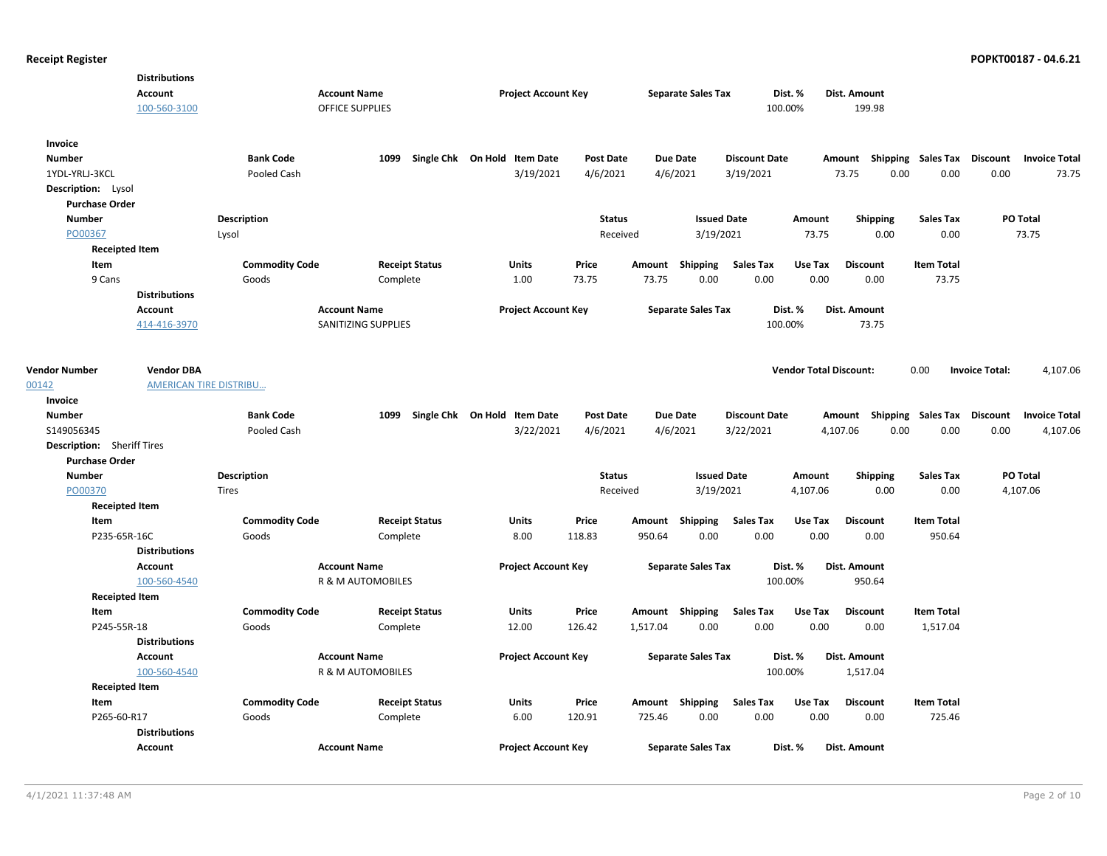|                                            | <b>Distributions</b><br>Account<br>100-560-3100 |                                 | <b>Account Name</b><br><b>OFFICE SUPPLIES</b> | <b>Project Account Key</b>                |                              | <b>Separate Sales Tax</b>   |                                   | Dist. %<br>100.00%            | Dist. Amount<br>199.98    |                                     |                       |                               |
|--------------------------------------------|-------------------------------------------------|---------------------------------|-----------------------------------------------|-------------------------------------------|------------------------------|-----------------------------|-----------------------------------|-------------------------------|---------------------------|-------------------------------------|-----------------------|-------------------------------|
| Invoice<br><b>Number</b><br>1YDL-YRLJ-3KCL |                                                 | <b>Bank Code</b><br>Pooled Cash | 1099                                          | Single Chk On Hold Item Date<br>3/19/2021 | <b>Post Date</b><br>4/6/2021 | <b>Due Date</b><br>4/6/2021 | <b>Discount Date</b><br>3/19/2021 |                               | Amount<br>73.75<br>0.00   | Shipping Sales Tax Discount<br>0.00 | 0.00                  | <b>Invoice Total</b><br>73.75 |
| Description: Lysol                         |                                                 |                                 |                                               |                                           |                              |                             |                                   |                               |                           |                                     |                       |                               |
| <b>Purchase Order</b>                      |                                                 |                                 |                                               |                                           |                              |                             |                                   |                               |                           |                                     |                       |                               |
| <b>Number</b>                              |                                                 | <b>Description</b>              |                                               |                                           | <b>Status</b>                |                             | <b>Issued Date</b>                | Amount                        | <b>Shipping</b>           | <b>Sales Tax</b>                    | PO Total              |                               |
| PO00367                                    |                                                 | Lysol                           |                                               |                                           | Received                     |                             | 3/19/2021                         | 73.75                         | 0.00                      | 0.00                                |                       | 73.75                         |
| <b>Receipted Item</b>                      |                                                 |                                 |                                               |                                           |                              |                             |                                   |                               |                           |                                     |                       |                               |
| Item                                       |                                                 | <b>Commodity Code</b>           | <b>Receipt Status</b>                         | <b>Units</b>                              | Price                        | Amount Shipping             | <b>Sales Tax</b>                  | Use Tax                       | <b>Discount</b>           | <b>Item Total</b>                   |                       |                               |
| 9 Cans                                     |                                                 | Goods                           | Complete                                      | 1.00                                      | 73.75                        | 73.75                       | 0.00<br>0.00                      | 0.00                          | 0.00                      | 73.75                               |                       |                               |
|                                            | <b>Distributions</b><br>Account                 |                                 | <b>Account Name</b>                           | <b>Project Account Key</b>                |                              | <b>Separate Sales Tax</b>   |                                   | Dist. %                       | Dist. Amount              |                                     |                       |                               |
|                                            | 414-416-3970                                    |                                 | SANITIZING SUPPLIES                           |                                           |                              |                             |                                   | 100.00%                       | 73.75                     |                                     |                       |                               |
| <b>Vendor Number</b><br>00142              | <b>Vendor DBA</b>                               | AMERICAN TIRE DISTRIBU          |                                               |                                           |                              |                             |                                   | <b>Vendor Total Discount:</b> |                           | 0.00                                | <b>Invoice Total:</b> | 4,107.06                      |
| Invoice                                    |                                                 |                                 |                                               |                                           |                              |                             |                                   |                               |                           |                                     |                       |                               |
| <b>Number</b>                              |                                                 | <b>Bank Code</b>                | 1099                                          | Single Chk On Hold Item Date              | <b>Post Date</b>             | <b>Due Date</b>             | <b>Discount Date</b>              |                               | Amount Shipping Sales Tax |                                     | Discount              | <b>Invoice Total</b>          |
| S149056345                                 |                                                 | Pooled Cash                     |                                               | 3/22/2021                                 | 4/6/2021                     | 4/6/2021                    | 3/22/2021                         |                               | 4,107.06<br>0.00          | 0.00                                | 0.00                  | 4,107.06                      |
| <b>Description:</b> Sheriff Tires          |                                                 |                                 |                                               |                                           |                              |                             |                                   |                               |                           |                                     |                       |                               |
| <b>Purchase Order</b>                      |                                                 |                                 |                                               |                                           |                              |                             |                                   |                               |                           |                                     |                       |                               |
| <b>Number</b>                              |                                                 | <b>Description</b>              |                                               |                                           | <b>Status</b>                |                             | <b>Issued Date</b>                | Amount                        | <b>Shipping</b>           | <b>Sales Tax</b>                    | PO Total              |                               |
| PO00370                                    |                                                 | <b>Tires</b>                    |                                               |                                           | Received                     |                             | 3/19/2021                         | 4,107.06                      | 0.00                      | 0.00                                | 4,107.06              |                               |
| <b>Receipted Item</b>                      |                                                 |                                 |                                               |                                           |                              |                             |                                   |                               |                           |                                     |                       |                               |
| Item                                       |                                                 | <b>Commodity Code</b>           | <b>Receipt Status</b>                         | <b>Units</b>                              | Price                        | Amount Shipping             | <b>Sales Tax</b>                  | Use Tax                       | <b>Discount</b>           | <b>Item Total</b>                   |                       |                               |
| P235-65R-16C                               | <b>Distributions</b>                            | Goods                           | Complete                                      | 8.00                                      | 118.83                       | 950.64                      | 0.00<br>0.00                      | 0.00                          | 0.00                      | 950.64                              |                       |                               |
|                                            | <b>Account</b>                                  |                                 | <b>Account Name</b>                           | <b>Project Account Key</b>                |                              | <b>Separate Sales Tax</b>   |                                   | Dist. %                       | Dist. Amount              |                                     |                       |                               |
|                                            | 100-560-4540                                    |                                 | R & M AUTOMOBILES                             |                                           |                              |                             |                                   | 100.00%                       | 950.64                    |                                     |                       |                               |
| <b>Receipted Item</b>                      |                                                 |                                 |                                               |                                           |                              |                             |                                   |                               |                           |                                     |                       |                               |
| Item                                       |                                                 | <b>Commodity Code</b>           | <b>Receipt Status</b>                         | <b>Units</b>                              | Price                        | Amount Shipping             | <b>Sales Tax</b>                  | Use Tax                       | <b>Discount</b>           | <b>Item Total</b>                   |                       |                               |
| P245-55R-18                                |                                                 | Goods                           | Complete                                      | 12.00                                     | 126.42                       | 1,517.04                    | 0.00<br>0.00                      | 0.00                          | 0.00                      | 1,517.04                            |                       |                               |
|                                            | <b>Distributions</b>                            |                                 |                                               |                                           |                              |                             |                                   |                               |                           |                                     |                       |                               |
|                                            | <b>Account</b>                                  |                                 | <b>Account Name</b>                           | <b>Project Account Key</b>                |                              | <b>Separate Sales Tax</b>   |                                   | Dist. %                       | Dist. Amount              |                                     |                       |                               |
|                                            | 100-560-4540                                    |                                 | R & M AUTOMOBILES                             |                                           |                              |                             |                                   | 100.00%                       | 1,517.04                  |                                     |                       |                               |
| <b>Receipted Item</b>                      |                                                 |                                 |                                               |                                           |                              |                             |                                   |                               |                           |                                     |                       |                               |
| Item                                       |                                                 | <b>Commodity Code</b>           | <b>Receipt Status</b>                         | Units                                     | Price                        | Amount Shipping             | <b>Sales Tax</b>                  | Use Tax                       | <b>Discount</b>           | <b>Item Total</b>                   |                       |                               |
| P265-60-R17                                |                                                 | Goods                           | Complete                                      | 6.00                                      | 120.91                       | 725.46                      | 0.00<br>0.00                      | 0.00                          | 0.00                      | 725.46                              |                       |                               |
|                                            | <b>Distributions</b>                            |                                 |                                               |                                           |                              |                             |                                   |                               |                           |                                     |                       |                               |
|                                            | Account                                         |                                 | <b>Account Name</b>                           | <b>Project Account Key</b>                |                              | <b>Separate Sales Tax</b>   |                                   | Dist. %                       | Dist. Amount              |                                     |                       |                               |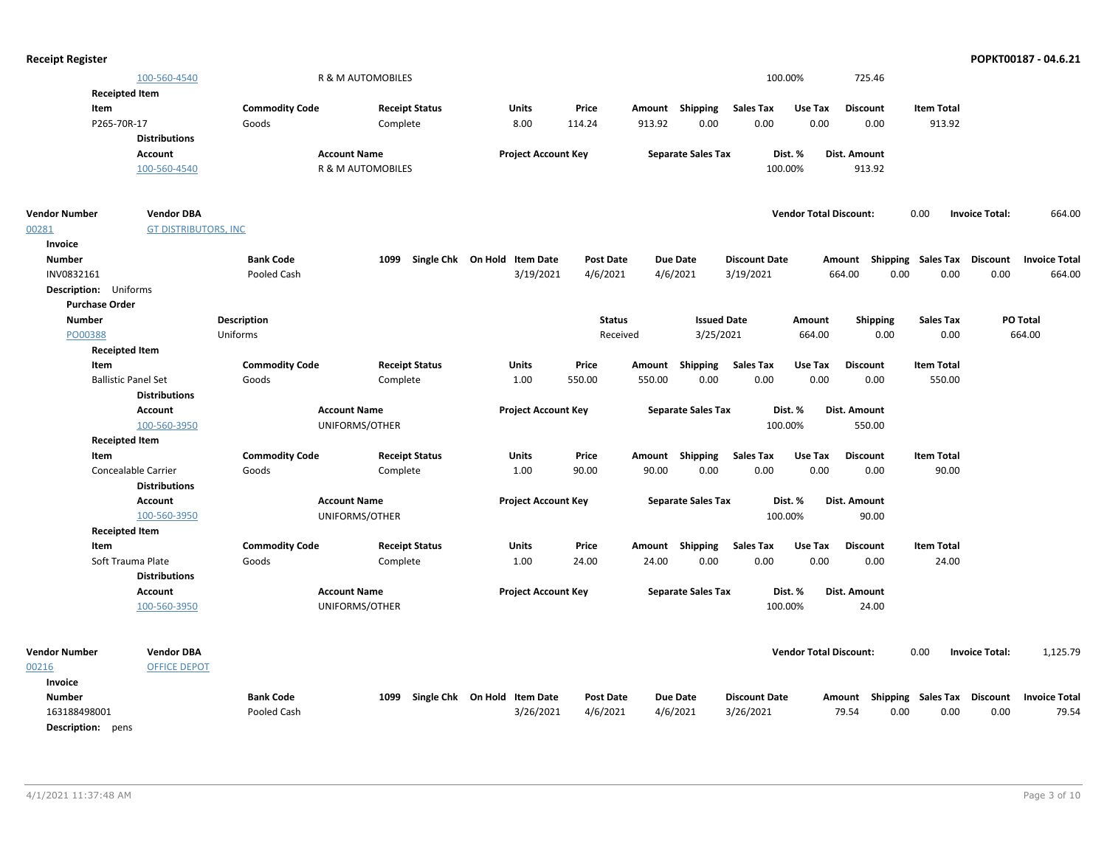| <b>Receipt Register</b>    |                             |                       |                       |                                        |                            |                           |                      |                               |                                      |                       | POPKT00187 - 04.6.21 |
|----------------------------|-----------------------------|-----------------------|-----------------------|----------------------------------------|----------------------------|---------------------------|----------------------|-------------------------------|--------------------------------------|-----------------------|----------------------|
|                            | 100-560-4540                |                       | R & M AUTOMOBILES     |                                        |                            |                           | 100.00%              |                               | 725.46                               |                       |                      |
| <b>Receipted Item</b>      |                             |                       |                       |                                        |                            |                           |                      |                               |                                      |                       |                      |
| Item                       |                             | <b>Commodity Code</b> | <b>Receipt Status</b> | <b>Units</b>                           | Price                      | Amount Shipping           | Sales Tax            | Use Tax                       | <b>Discount</b><br><b>Item Total</b> |                       |                      |
| P265-70R-17                |                             | Goods                 | Complete              | 8.00                                   | 114.24                     | 0.00<br>913.92            | 0.00                 | 0.00                          | 0.00                                 | 913.92                |                      |
|                            | <b>Distributions</b>        |                       |                       |                                        |                            |                           |                      |                               |                                      |                       |                      |
|                            | Account                     |                       | <b>Account Name</b>   |                                        | <b>Project Account Key</b> | <b>Separate Sales Tax</b> | Dist. %              | Dist. Amount                  |                                      |                       |                      |
|                            | 100-560-4540                |                       | R & M AUTOMOBILES     |                                        |                            |                           | 100.00%              |                               | 913.92                               |                       |                      |
| <b>Vendor Number</b>       | <b>Vendor DBA</b>           |                       |                       |                                        |                            |                           |                      | <b>Vendor Total Discount:</b> | 0.00                                 | <b>Invoice Total:</b> | 664.00               |
| 00281                      | <b>GT DISTRIBUTORS, INC</b> |                       |                       |                                        |                            |                           |                      |                               |                                      |                       |                      |
| Invoice                    |                             |                       |                       |                                        |                            |                           |                      |                               |                                      |                       |                      |
| <b>Number</b>              |                             | <b>Bank Code</b>      | 1099                  | Single Chk On Hold<br><b>Item Date</b> | <b>Post Date</b>           | <b>Due Date</b>           | <b>Discount Date</b> |                               | Amount Shipping Sales Tax Discount   |                       | <b>Invoice Total</b> |
| INV0832161                 |                             | Pooled Cash           |                       | 3/19/2021                              | 4/6/2021                   | 4/6/2021                  | 3/19/2021            | 664.00                        | 0.00                                 | 0.00<br>0.00          | 664.00               |
| Description: Uniforms      |                             |                       |                       |                                        |                            |                           |                      |                               |                                      |                       |                      |
| <b>Purchase Order</b>      |                             |                       |                       |                                        |                            |                           |                      |                               |                                      |                       |                      |
| <b>Number</b>              |                             | Description           |                       |                                        | <b>Status</b>              |                           | <b>Issued Date</b>   | Amount                        | <b>Sales Tax</b><br><b>Shipping</b>  |                       | PO Total             |
| PO00388                    |                             | Uniforms              |                       |                                        | Received                   |                           | 3/25/2021            | 664.00                        | 0.00                                 | 0.00                  | 664.00               |
| <b>Receipted Item</b>      |                             |                       |                       |                                        |                            |                           |                      |                               |                                      |                       |                      |
| Item                       |                             | <b>Commodity Code</b> | <b>Receipt Status</b> | <b>Units</b>                           | Price                      | Shipping<br>Amount        | <b>Sales Tax</b>     | Use Tax                       | <b>Discount</b><br><b>Item Total</b> |                       |                      |
| <b>Ballistic Panel Set</b> |                             | Goods                 | Complete              | 1.00                                   | 550.00                     | 0.00<br>550.00            | 0.00                 | 0.00                          | 0.00                                 | 550.00                |                      |
|                            | <b>Distributions</b>        |                       |                       |                                        |                            |                           |                      |                               |                                      |                       |                      |
|                            | <b>Account</b>              |                       | <b>Account Name</b>   |                                        | <b>Project Account Key</b> | <b>Separate Sales Tax</b> | Dist. %              | Dist. Amount                  |                                      |                       |                      |
|                            | 100-560-3950                |                       | UNIFORMS/OTHER        |                                        |                            |                           | 100.00%              |                               | 550.00                               |                       |                      |
| <b>Receipted Item</b>      |                             |                       |                       |                                        |                            |                           |                      |                               |                                      |                       |                      |
| Item                       |                             | <b>Commodity Code</b> | <b>Receipt Status</b> | <b>Units</b>                           | Price                      | Amount Shipping           | <b>Sales Tax</b>     | Use Tax                       | <b>Discount</b><br><b>Item Total</b> |                       |                      |
|                            | Concealable Carrier         | Goods                 | Complete              | 1.00                                   | 90.00                      | 0.00<br>90.00             | 0.00                 | 0.00                          | 0.00                                 | 90.00                 |                      |
|                            | <b>Distributions</b>        |                       |                       |                                        |                            |                           |                      |                               |                                      |                       |                      |
|                            | Account                     |                       | <b>Account Name</b>   |                                        | <b>Project Account Key</b> | <b>Separate Sales Tax</b> | Dist. %              | Dist. Amount                  |                                      |                       |                      |
|                            | 100-560-3950                |                       | UNIFORMS/OTHER        |                                        |                            |                           | 100.00%              |                               | 90.00                                |                       |                      |
| <b>Receipted Item</b>      |                             |                       |                       |                                        |                            |                           |                      |                               |                                      |                       |                      |
| Item                       |                             | <b>Commodity Code</b> | <b>Receipt Status</b> | <b>Units</b>                           | Price                      | Amount Shipping           | <b>Sales Tax</b>     | Use Tax                       | <b>Discount</b><br><b>Item Total</b> |                       |                      |
|                            | Soft Trauma Plate           | Goods                 | Complete              | 1.00                                   | 24.00                      | 0.00<br>24.00             | 0.00                 | 0.00                          | 0.00                                 | 24.00                 |                      |
|                            | <b>Distributions</b>        |                       |                       |                                        |                            |                           |                      |                               |                                      |                       |                      |
|                            | Account                     |                       | <b>Account Name</b>   |                                        | <b>Project Account Key</b> | <b>Separate Sales Tax</b> | Dist. %              | Dist. Amount                  |                                      |                       |                      |
|                            | 100-560-3950                |                       | UNIFORMS/OTHER        |                                        |                            |                           | 100.00%              |                               | 24.00                                |                       |                      |
| <b>Vendor Number</b>       | <b>Vendor DBA</b>           |                       |                       |                                        |                            |                           |                      | <b>Vendor Total Discount:</b> | 0.00                                 | <b>Invoice Total:</b> | 1,125.79             |
| 00216                      | <b>OFFICE DEPOT</b>         |                       |                       |                                        |                            |                           |                      |                               |                                      |                       |                      |
| Invoice                    |                             |                       |                       |                                        |                            |                           |                      |                               |                                      |                       |                      |
| <b>Number</b>              |                             | <b>Bank Code</b>      | 1099                  | Single Chk On Hold Item Date           | <b>Post Date</b>           | <b>Due Date</b>           | <b>Discount Date</b> |                               | Amount Shipping Sales Tax Discount   |                       | <b>Invoice Total</b> |
| 163188498001               |                             | Pooled Cash           |                       | 3/26/2021                              | 4/6/2021                   | 4/6/2021                  | 3/26/2021            | 79.54                         | 0.00                                 | 0.00<br>0.00          | 79.54                |
| Description: pens          |                             |                       |                       |                                        |                            |                           |                      |                               |                                      |                       |                      |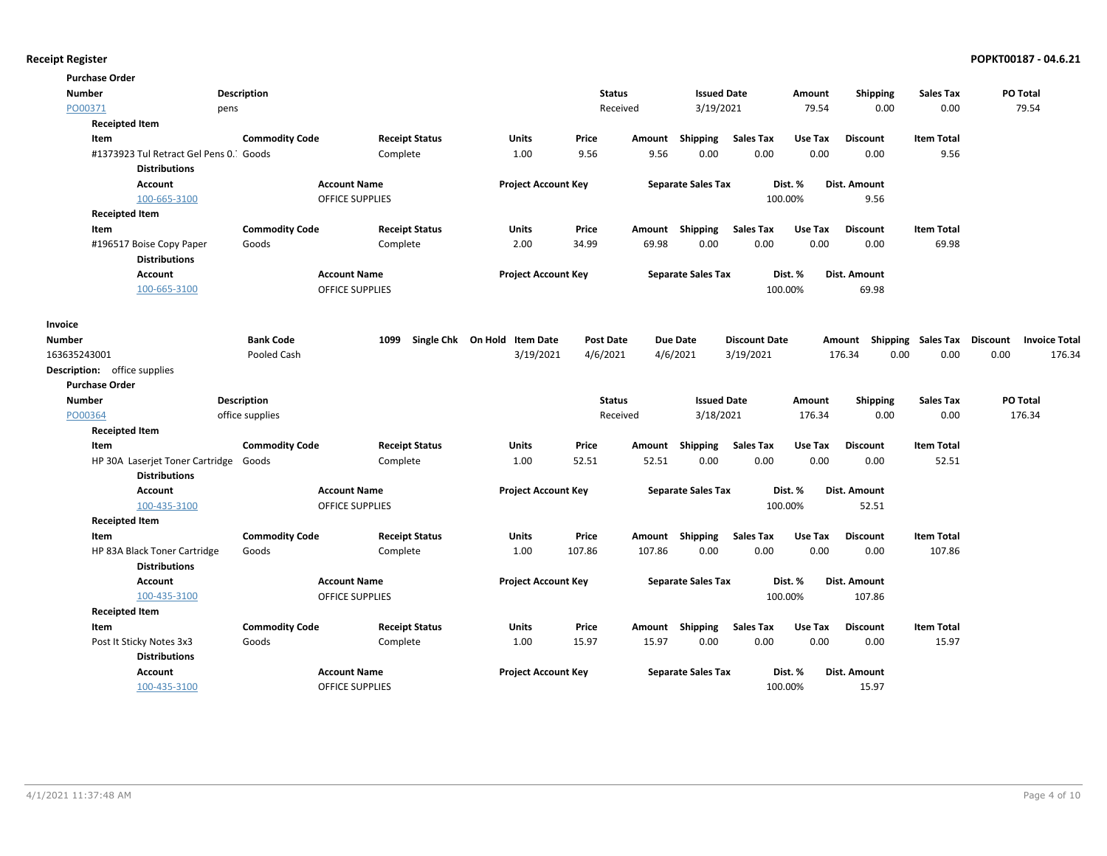| <b>Purchase Order</b>                  |                       |                        |                              |                  |        |                           |                      |         |                                    |                   |                 |                      |
|----------------------------------------|-----------------------|------------------------|------------------------------|------------------|--------|---------------------------|----------------------|---------|------------------------------------|-------------------|-----------------|----------------------|
| <b>Number</b>                          | <b>Description</b>    |                        |                              | <b>Status</b>    |        | <b>Issued Date</b>        |                      | Amount  | Shipping                           | <b>Sales Tax</b>  | PO Total        |                      |
| PO00371                                | pens                  |                        |                              | Received         |        | 3/19/2021                 |                      | 79.54   | 0.00                               | 0.00              | 79.54           |                      |
| <b>Receipted Item</b>                  |                       |                        |                              |                  |        |                           |                      |         |                                    |                   |                 |                      |
| Item                                   | <b>Commodity Code</b> | <b>Receipt Status</b>  | Units                        | Price            | Amount | Shipping                  | <b>Sales Tax</b>     | Use Tax | <b>Discount</b>                    | <b>Item Total</b> |                 |                      |
| #1373923 Tul Retract Gel Pens 0. Goods |                       | Complete               | 1.00                         | 9.56             | 9.56   | 0.00                      | 0.00                 | 0.00    | 0.00                               | 9.56              |                 |                      |
| <b>Distributions</b>                   |                       |                        |                              |                  |        |                           |                      |         |                                    |                   |                 |                      |
| Account                                |                       | <b>Account Name</b>    | <b>Project Account Key</b>   |                  |        | <b>Separate Sales Tax</b> |                      | Dist. % | Dist. Amount                       |                   |                 |                      |
| 100-665-3100                           |                       | OFFICE SUPPLIES        |                              |                  |        |                           |                      | 100.00% | 9.56                               |                   |                 |                      |
| <b>Receipted Item</b>                  |                       |                        |                              |                  |        |                           |                      |         |                                    |                   |                 |                      |
| Item                                   | <b>Commodity Code</b> | <b>Receipt Status</b>  | Units                        | Price            | Amount | Shipping                  | <b>Sales Tax</b>     | Use Tax | <b>Discount</b>                    | <b>Item Total</b> |                 |                      |
| #196517 Boise Copy Paper               | Goods                 | Complete               | 2.00                         | 34.99            | 69.98  | 0.00                      | 0.00                 | 0.00    | 0.00                               | 69.98             |                 |                      |
| <b>Distributions</b>                   |                       |                        |                              |                  |        |                           |                      |         |                                    |                   |                 |                      |
| <b>Account</b>                         |                       | <b>Account Name</b>    | <b>Project Account Key</b>   |                  |        | <b>Separate Sales Tax</b> |                      | Dist. % | Dist. Amount                       |                   |                 |                      |
| 100-665-3100                           |                       | <b>OFFICE SUPPLIES</b> |                              |                  |        |                           |                      | 100.00% | 69.98                              |                   |                 |                      |
| Invoice                                |                       |                        |                              |                  |        |                           |                      |         |                                    |                   |                 |                      |
| <b>Number</b>                          | <b>Bank Code</b>      | 1099                   | Single Chk On Hold Item Date | <b>Post Date</b> |        | <b>Due Date</b>           | <b>Discount Date</b> |         | Amount Shipping Sales Tax Discount |                   |                 | <b>Invoice Total</b> |
| 163635243001                           | Pooled Cash           |                        | 3/19/2021                    | 4/6/2021         |        | 4/6/2021                  | 3/19/2021            |         | 176.34<br>0.00                     | 0.00              | 0.00            | 176.34               |
| <b>Description:</b> office supplies    |                       |                        |                              |                  |        |                           |                      |         |                                    |                   |                 |                      |
| <b>Purchase Order</b>                  |                       |                        |                              |                  |        |                           |                      |         |                                    |                   |                 |                      |
| <b>Number</b>                          | <b>Description</b>    |                        |                              | <b>Status</b>    |        | <b>Issued Date</b>        |                      | Amount  | <b>Shipping</b>                    | <b>Sales Tax</b>  | <b>PO Total</b> |                      |
| PO00364                                | office supplies       |                        |                              | Received         |        | 3/18/2021                 |                      | 176.34  | 0.00                               | 0.00              | 176.34          |                      |
| <b>Receipted Item</b>                  |                       |                        |                              |                  |        |                           |                      |         |                                    |                   |                 |                      |
| Item                                   | <b>Commodity Code</b> | <b>Receipt Status</b>  | <b>Units</b>                 | Price            | Amount | Shipping                  | <b>Sales Tax</b>     | Use Tax | <b>Discount</b>                    | <b>Item Total</b> |                 |                      |
| HP 30A Laserjet Toner Cartridge Goods  |                       | Complete               | 1.00                         | 52.51            | 52.51  | 0.00                      | 0.00                 | 0.00    | 0.00                               | 52.51             |                 |                      |
| <b>Distributions</b>                   |                       |                        |                              |                  |        |                           |                      |         |                                    |                   |                 |                      |
| <b>Account</b>                         |                       | <b>Account Name</b>    | <b>Project Account Key</b>   |                  |        | <b>Separate Sales Tax</b> |                      | Dist. % | Dist. Amount                       |                   |                 |                      |
| 100-435-3100                           |                       | OFFICE SUPPLIES        |                              |                  |        |                           |                      | 100.00% | 52.51                              |                   |                 |                      |
| <b>Receipted Item</b>                  |                       |                        |                              |                  |        |                           |                      |         |                                    |                   |                 |                      |
| Item                                   | <b>Commodity Code</b> | <b>Receipt Status</b>  | <b>Units</b>                 | Price            |        | Amount Shipping           | <b>Sales Tax</b>     | Use Tax | <b>Discount</b>                    | <b>Item Total</b> |                 |                      |
| HP 83A Black Toner Cartridge           | Goods                 | Complete               | 1.00                         | 107.86           | 107.86 | 0.00                      | 0.00                 | 0.00    | 0.00                               | 107.86            |                 |                      |
| <b>Distributions</b>                   |                       |                        |                              |                  |        |                           |                      |         |                                    |                   |                 |                      |
| <b>Account</b>                         |                       | <b>Account Name</b>    | <b>Project Account Key</b>   |                  |        | <b>Separate Sales Tax</b> |                      | Dist. % | Dist. Amount                       |                   |                 |                      |
| 100-435-3100                           |                       | <b>OFFICE SUPPLIES</b> |                              |                  |        |                           |                      | 100.00% | 107.86                             |                   |                 |                      |
| <b>Receipted Item</b>                  |                       |                        |                              |                  |        |                           |                      |         |                                    |                   |                 |                      |
| Item                                   | <b>Commodity Code</b> | <b>Receipt Status</b>  | Units                        | Price            | Amount | Shipping                  | <b>Sales Tax</b>     | Use Tax | <b>Discount</b>                    | <b>Item Total</b> |                 |                      |
| Post It Sticky Notes 3x3               | Goods                 | Complete               | 1.00                         | 15.97            | 15.97  | 0.00                      | 0.00                 | 0.00    | 0.00                               | 15.97             |                 |                      |
| <b>Distributions</b>                   |                       |                        |                              |                  |        |                           |                      |         |                                    |                   |                 |                      |
| <b>Account</b>                         |                       | <b>Account Name</b>    | <b>Project Account Key</b>   |                  |        | <b>Separate Sales Tax</b> |                      | Dist. % | Dist. Amount                       |                   |                 |                      |
| 100-435-3100                           |                       | <b>OFFICE SUPPLIES</b> |                              |                  |        |                           |                      | 100.00% | 15.97                              |                   |                 |                      |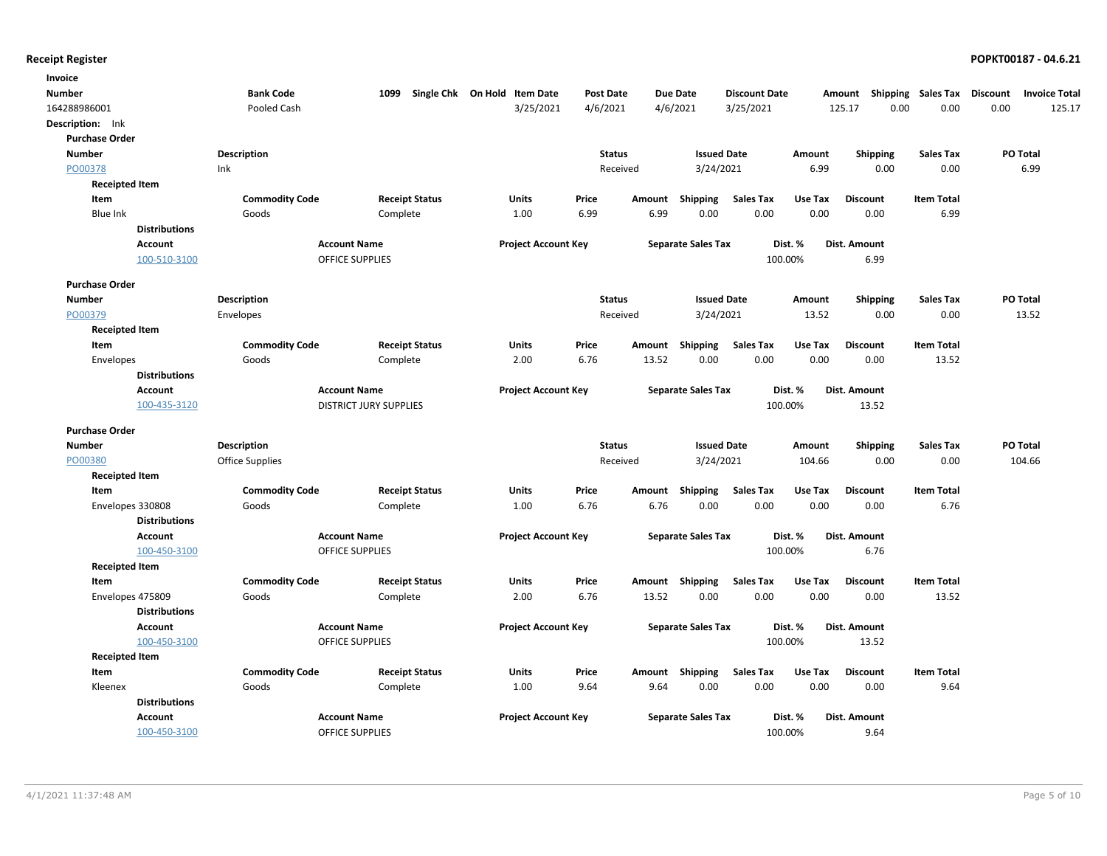| Invoice               |                       |                               |                              |                  |        |                           |                      |         |                 |                           |                 |                      |
|-----------------------|-----------------------|-------------------------------|------------------------------|------------------|--------|---------------------------|----------------------|---------|-----------------|---------------------------|-----------------|----------------------|
| <b>Number</b>         | <b>Bank Code</b>      | 1099                          | Single Chk On Hold Item Date | <b>Post Date</b> |        | <b>Due Date</b>           | <b>Discount Date</b> |         | Amount          | <b>Shipping Sales Tax</b> | <b>Discount</b> | <b>Invoice Total</b> |
| 164288986001          | Pooled Cash           |                               | 3/25/2021                    | 4/6/2021         |        | 4/6/2021                  | 3/25/2021            |         | 125.17<br>0.00  | 0.00                      | 0.00            | 125.17               |
| Description: Ink      |                       |                               |                              |                  |        |                           |                      |         |                 |                           |                 |                      |
| <b>Purchase Order</b> |                       |                               |                              |                  |        |                           |                      |         |                 |                           |                 |                      |
| <b>Number</b>         | <b>Description</b>    |                               |                              | <b>Status</b>    |        | <b>Issued Date</b>        |                      | Amount  | <b>Shipping</b> | <b>Sales Tax</b>          |                 | PO Total             |
| PO00378               | Ink                   |                               |                              | Received         |        | 3/24/2021                 |                      | 6.99    | 0.00            | 0.00                      |                 | 6.99                 |
| <b>Receipted Item</b> |                       |                               |                              |                  |        |                           |                      |         |                 |                           |                 |                      |
| Item                  | <b>Commodity Code</b> | <b>Receipt Status</b>         | Units                        | Price            | Amount | Shipping                  | <b>Sales Tax</b>     | Use Tax | <b>Discount</b> | <b>Item Total</b>         |                 |                      |
| Blue Ink              | Goods                 | Complete                      | 1.00                         | 6.99             | 6.99   | 0.00                      | 0.00                 | 0.00    | 0.00            | 6.99                      |                 |                      |
| <b>Distributions</b>  |                       |                               |                              |                  |        |                           |                      |         |                 |                           |                 |                      |
| Account               |                       | <b>Account Name</b>           | <b>Project Account Key</b>   |                  |        | <b>Separate Sales Tax</b> |                      | Dist. % | Dist. Amount    |                           |                 |                      |
| 100-510-3100          |                       | <b>OFFICE SUPPLIES</b>        |                              |                  |        |                           | 100.00%              |         | 6.99            |                           |                 |                      |
| <b>Purchase Order</b> |                       |                               |                              |                  |        |                           |                      |         |                 |                           |                 |                      |
| Number                | <b>Description</b>    |                               |                              | <b>Status</b>    |        | <b>Issued Date</b>        |                      | Amount  | <b>Shipping</b> | <b>Sales Tax</b>          |                 | PO Total             |
| PO00379               | Envelopes             |                               |                              | Received         |        | 3/24/2021                 |                      | 13.52   | 0.00            | 0.00                      |                 | 13.52                |
| <b>Receipted Item</b> |                       |                               |                              |                  |        |                           |                      |         |                 |                           |                 |                      |
| Item                  | <b>Commodity Code</b> | <b>Receipt Status</b>         | <b>Units</b>                 | Price            | Amount | Shipping                  | <b>Sales Tax</b>     | Use Tax | <b>Discount</b> | <b>Item Total</b>         |                 |                      |
| Envelopes             | Goods                 | Complete                      | 2.00                         | 6.76             | 13.52  | 0.00                      | 0.00                 | 0.00    | 0.00            | 13.52                     |                 |                      |
| <b>Distributions</b>  |                       |                               |                              |                  |        |                           |                      |         |                 |                           |                 |                      |
| <b>Account</b>        |                       | <b>Account Name</b>           | <b>Project Account Key</b>   |                  |        | <b>Separate Sales Tax</b> |                      | Dist. % | Dist. Amount    |                           |                 |                      |
| 100-435-3120          |                       | <b>DISTRICT JURY SUPPLIES</b> |                              |                  |        |                           | 100.00%              |         | 13.52           |                           |                 |                      |
| <b>Purchase Order</b> |                       |                               |                              |                  |        |                           |                      |         |                 |                           |                 |                      |
| <b>Number</b>         | Description           |                               |                              | <b>Status</b>    |        | <b>Issued Date</b>        |                      | Amount  | <b>Shipping</b> | <b>Sales Tax</b>          |                 | PO Total             |
| PO00380               | Office Supplies       |                               |                              | Received         |        | 3/24/2021                 |                      | 104.66  | 0.00            | 0.00                      |                 | 104.66               |
| <b>Receipted Item</b> |                       |                               |                              |                  |        |                           |                      |         |                 |                           |                 |                      |
| Item                  | <b>Commodity Code</b> | <b>Receipt Status</b>         | <b>Units</b>                 | Price            | Amount | Shipping                  | <b>Sales Tax</b>     | Use Tax | <b>Discount</b> | <b>Item Total</b>         |                 |                      |
| Envelopes 330808      | Goods                 | Complete                      | 1.00                         | 6.76             | 6.76   | 0.00                      | 0.00                 | 0.00    | 0.00            | 6.76                      |                 |                      |
| <b>Distributions</b>  |                       |                               |                              |                  |        |                           |                      |         |                 |                           |                 |                      |
| <b>Account</b>        |                       | <b>Account Name</b>           | <b>Project Account Key</b>   |                  |        | <b>Separate Sales Tax</b> |                      | Dist. % | Dist. Amount    |                           |                 |                      |
| 100-450-3100          |                       | <b>OFFICE SUPPLIES</b>        |                              |                  |        |                           | 100.00%              |         | 6.76            |                           |                 |                      |
| <b>Receipted Item</b> |                       |                               |                              |                  |        |                           |                      |         |                 |                           |                 |                      |
| Item                  | <b>Commodity Code</b> | <b>Receipt Status</b>         | Units                        | Price            | Amount | Shipping                  | <b>Sales Tax</b>     | Use Tax | <b>Discount</b> | <b>Item Total</b>         |                 |                      |
| Envelopes 475809      | Goods                 | Complete                      | 2.00                         | 6.76             | 13.52  | 0.00                      | 0.00                 | 0.00    | 0.00            | 13.52                     |                 |                      |
| <b>Distributions</b>  |                       |                               |                              |                  |        |                           |                      |         |                 |                           |                 |                      |
| <b>Account</b>        |                       | <b>Account Name</b>           | <b>Project Account Key</b>   |                  |        | <b>Separate Sales Tax</b> |                      | Dist. % | Dist. Amount    |                           |                 |                      |
| 100-450-3100          |                       | <b>OFFICE SUPPLIES</b>        |                              |                  |        |                           |                      | 100.00% | 13.52           |                           |                 |                      |
| <b>Receipted Item</b> |                       |                               |                              |                  |        |                           |                      |         |                 |                           |                 |                      |
| Item                  | <b>Commodity Code</b> | <b>Receipt Status</b>         | <b>Units</b>                 | Price            | Amount | Shipping                  | <b>Sales Tax</b>     | Use Tax | <b>Discount</b> | <b>Item Total</b>         |                 |                      |
| Kleenex               | Goods                 | Complete                      | 1.00                         | 9.64             | 9.64   | 0.00                      | 0.00                 | 0.00    | 0.00            | 9.64                      |                 |                      |
| <b>Distributions</b>  |                       |                               |                              |                  |        |                           |                      |         |                 |                           |                 |                      |
| Account               |                       | <b>Account Name</b>           | <b>Project Account Key</b>   |                  |        | <b>Separate Sales Tax</b> |                      | Dist. % | Dist. Amount    |                           |                 |                      |
|                       |                       | <b>OFFICE SUPPLIES</b>        |                              |                  |        |                           | 100.00%              |         | 9.64            |                           |                 |                      |
| 100-450-3100          |                       |                               |                              |                  |        |                           |                      |         |                 |                           |                 |                      |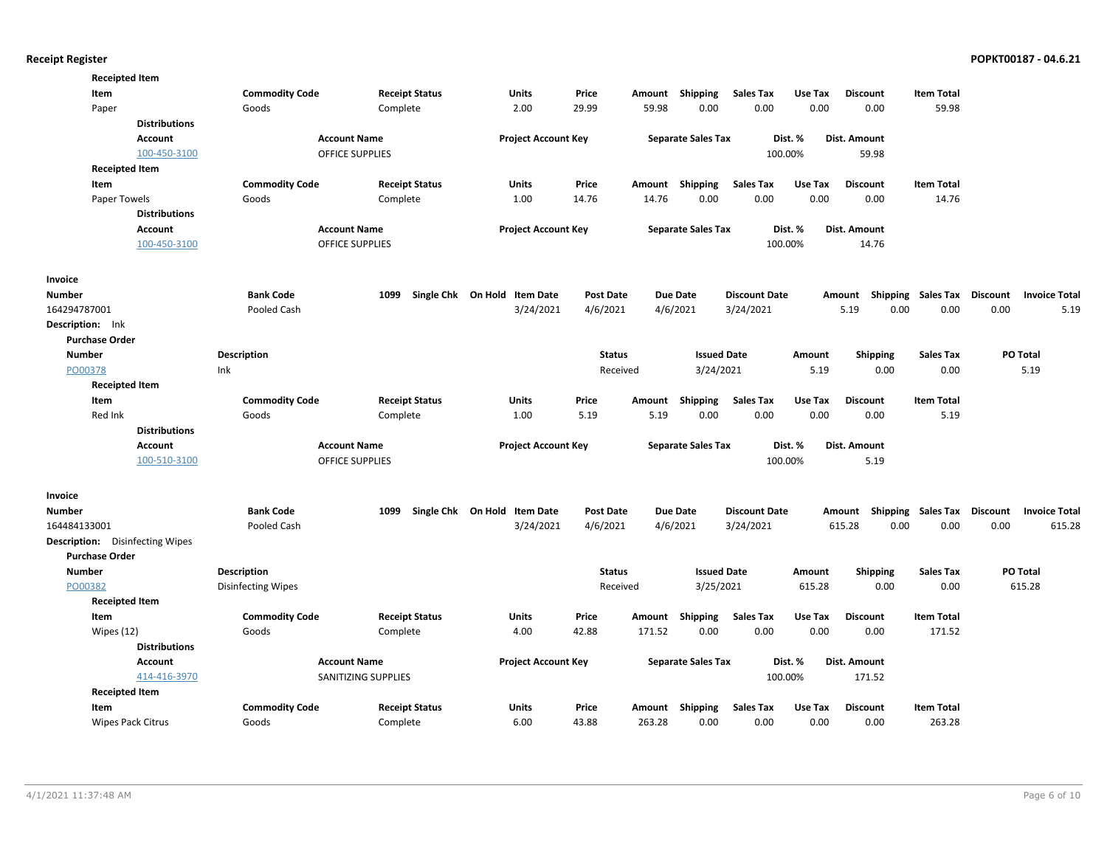| <b>Receipted Item</b>                  |                      |                           |                        |                              |                  |        |                           |                      |         |                           |                           |                 |                      |
|----------------------------------------|----------------------|---------------------------|------------------------|------------------------------|------------------|--------|---------------------------|----------------------|---------|---------------------------|---------------------------|-----------------|----------------------|
| Item                                   |                      | <b>Commodity Code</b>     | <b>Receipt Status</b>  | Units                        | Price            | Amount | Shipping                  | <b>Sales Tax</b>     | Use Tax | <b>Discount</b>           | <b>Item Total</b>         |                 |                      |
| Paper                                  |                      | Goods                     | Complete               | 2.00                         | 29.99            | 59.98  | 0.00                      | 0.00                 | 0.00    | 0.00                      | 59.98                     |                 |                      |
|                                        | <b>Distributions</b> |                           |                        |                              |                  |        |                           |                      |         |                           |                           |                 |                      |
|                                        | <b>Account</b>       |                           | <b>Account Name</b>    | <b>Project Account Key</b>   |                  |        | <b>Separate Sales Tax</b> |                      | Dist. % | <b>Dist. Amount</b>       |                           |                 |                      |
|                                        | 100-450-3100         |                           | <b>OFFICE SUPPLIES</b> |                              |                  |        |                           |                      | 100.00% | 59.98                     |                           |                 |                      |
| <b>Receipted Item</b>                  |                      |                           |                        |                              |                  |        |                           |                      |         |                           |                           |                 |                      |
| Item                                   |                      | <b>Commodity Code</b>     | <b>Receipt Status</b>  | <b>Units</b>                 | Price            | Amount | Shipping                  | <b>Sales Tax</b>     | Use Tax | <b>Discount</b>           | <b>Item Total</b>         |                 |                      |
| Paper Towels                           |                      | Goods                     | Complete               | 1.00                         | 14.76            | 14.76  | 0.00                      | 0.00                 | 0.00    | 0.00                      | 14.76                     |                 |                      |
|                                        | <b>Distributions</b> |                           |                        |                              |                  |        |                           |                      |         |                           |                           |                 |                      |
|                                        | <b>Account</b>       |                           | <b>Account Name</b>    | <b>Project Account Key</b>   |                  |        | <b>Separate Sales Tax</b> |                      | Dist. % | <b>Dist. Amount</b>       |                           |                 |                      |
|                                        | 100-450-3100         |                           | <b>OFFICE SUPPLIES</b> |                              |                  |        |                           |                      | 100.00% | 14.76                     |                           |                 |                      |
| Invoice                                |                      |                           |                        |                              |                  |        |                           |                      |         |                           |                           |                 |                      |
| <b>Number</b>                          |                      | <b>Bank Code</b>          | 1099                   | Single Chk On Hold Item Date | <b>Post Date</b> |        | <b>Due Date</b>           | <b>Discount Date</b> |         | Amount                    | <b>Shipping Sales Tax</b> | <b>Discount</b> | <b>Invoice Total</b> |
| 164294787001                           |                      | Pooled Cash               |                        | 3/24/2021                    | 4/6/2021         |        | 4/6/2021                  | 3/24/2021            |         | 5.19<br>0.00              | 0.00                      | 0.00            | 5.19                 |
| Description: Ink                       |                      |                           |                        |                              |                  |        |                           |                      |         |                           |                           |                 |                      |
| <b>Purchase Order</b>                  |                      |                           |                        |                              |                  |        |                           |                      |         |                           |                           |                 |                      |
| <b>Number</b>                          |                      | <b>Description</b>        |                        |                              | <b>Status</b>    |        | <b>Issued Date</b>        |                      | Amount  | <b>Shipping</b>           | <b>Sales Tax</b>          |                 | PO Total             |
| PO00378                                |                      | Ink                       |                        |                              | Received         |        | 3/24/2021                 |                      | 5.19    | 0.00                      | 0.00                      |                 | 5.19                 |
| <b>Receipted Item</b>                  |                      |                           |                        |                              |                  |        |                           |                      |         |                           |                           |                 |                      |
| Item                                   |                      | <b>Commodity Code</b>     | <b>Receipt Status</b>  | Units                        | Price            | Amount | <b>Shipping</b>           | <b>Sales Tax</b>     | Use Tax | <b>Discount</b>           | <b>Item Total</b>         |                 |                      |
| Red Ink                                |                      | Goods                     | Complete               | 1.00                         | 5.19             | 5.19   | 0.00                      | 0.00                 | 0.00    | 0.00                      | 5.19                      |                 |                      |
|                                        | <b>Distributions</b> |                           |                        |                              |                  |        |                           |                      |         |                           |                           |                 |                      |
|                                        | Account              |                           | <b>Account Name</b>    | <b>Project Account Key</b>   |                  |        | <b>Separate Sales Tax</b> |                      | Dist. % | Dist. Amount              |                           |                 |                      |
|                                        | 100-510-3100         |                           | <b>OFFICE SUPPLIES</b> |                              |                  |        |                           |                      | 100.00% | 5.19                      |                           |                 |                      |
| Invoice                                |                      |                           |                        |                              |                  |        |                           |                      |         |                           |                           |                 |                      |
| <b>Number</b>                          |                      | <b>Bank Code</b>          | 1099                   | Single Chk On Hold Item Date | <b>Post Date</b> |        | <b>Due Date</b>           | <b>Discount Date</b> |         | Amount Shipping Sales Tax |                           | Discount        | <b>Invoice Total</b> |
| 164484133001                           |                      | Pooled Cash               |                        | 3/24/2021                    | 4/6/2021         |        | 4/6/2021                  | 3/24/2021            |         | 615.28<br>0.00            | 0.00                      | 0.00            | 615.28               |
| <b>Description:</b> Disinfecting Wipes |                      |                           |                        |                              |                  |        |                           |                      |         |                           |                           |                 |                      |
| <b>Purchase Order</b>                  |                      |                           |                        |                              |                  |        |                           |                      |         |                           |                           |                 |                      |
| Number                                 |                      | <b>Description</b>        |                        |                              | <b>Status</b>    |        | <b>Issued Date</b>        |                      | Amount  | <b>Shipping</b>           | <b>Sales Tax</b>          |                 | PO Total             |
| PO00382                                |                      | <b>Disinfecting Wipes</b> |                        |                              | Received         |        | 3/25/2021                 |                      | 615.28  | 0.00                      | 0.00                      |                 | 615.28               |
| <b>Receipted Item</b>                  |                      |                           |                        |                              |                  |        |                           |                      |         |                           |                           |                 |                      |
| Item                                   |                      | <b>Commodity Code</b>     | <b>Receipt Status</b>  | Units                        | Price            | Amount | Shipping                  | <b>Sales Tax</b>     | Use Tax | <b>Discount</b>           | <b>Item Total</b>         |                 |                      |
| Wipes (12)                             |                      | Goods                     | Complete               | 4.00                         | 42.88            | 171.52 | 0.00                      | 0.00                 | 0.00    | 0.00                      | 171.52                    |                 |                      |
|                                        | <b>Distributions</b> |                           |                        |                              |                  |        |                           |                      |         |                           |                           |                 |                      |
|                                        | <b>Account</b>       |                           | <b>Account Name</b>    | <b>Project Account Key</b>   |                  |        | <b>Separate Sales Tax</b> |                      | Dist. % | Dist. Amount              |                           |                 |                      |
|                                        | 414-416-3970         |                           | SANITIZING SUPPLIES    |                              |                  |        |                           |                      | 100.00% | 171.52                    |                           |                 |                      |
| <b>Receipted Item</b>                  |                      |                           |                        |                              |                  |        |                           |                      |         |                           |                           |                 |                      |
| Item                                   |                      | <b>Commodity Code</b>     | <b>Receipt Status</b>  | Units                        | Price            |        | Amount Shipping           | <b>Sales Tax</b>     | Use Tax | <b>Discount</b>           | <b>Item Total</b>         |                 |                      |
| <b>Wipes Pack Citrus</b>               |                      | Goods                     | Complete               | 6.00                         | 43.88            | 263.28 | 0.00                      | 0.00                 | 0.00    | 0.00                      | 263.28                    |                 |                      |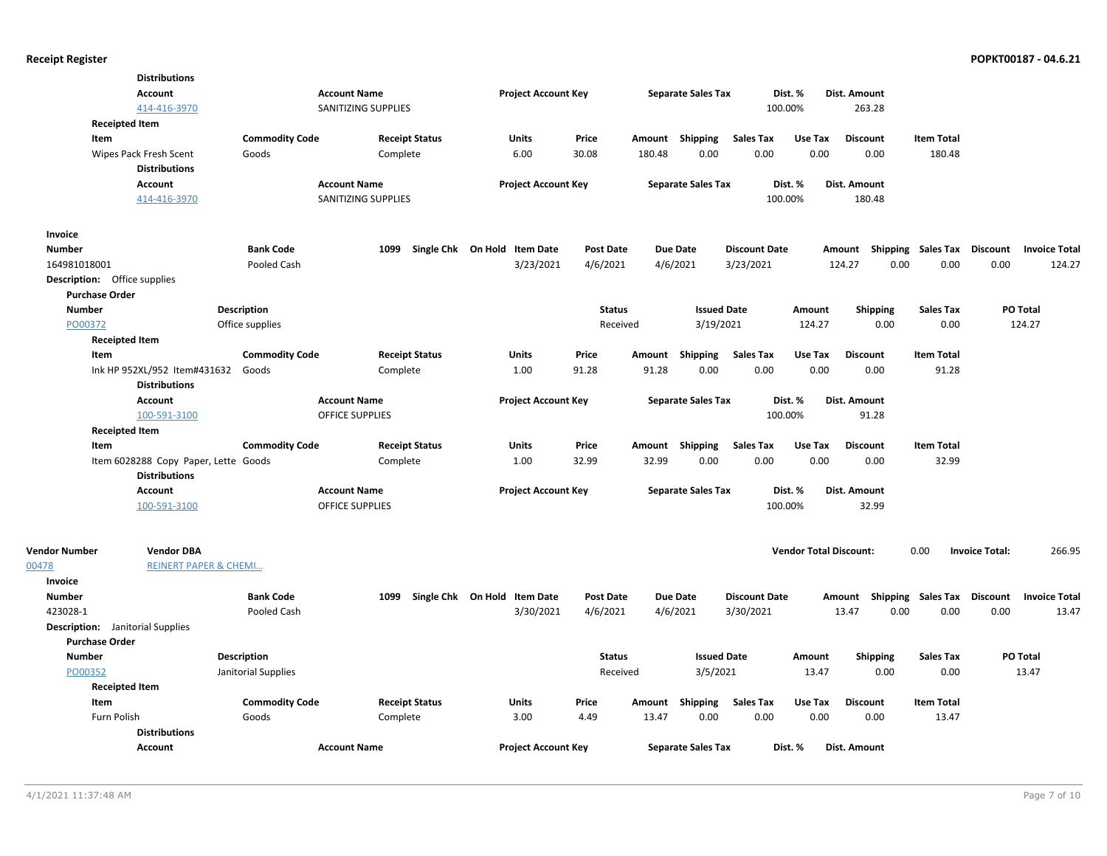|                                         | <b>Distributions</b>                 |                       |                        |                              |                  |                 |                           |                      |                               |                           |                   |                       |                      |
|-----------------------------------------|--------------------------------------|-----------------------|------------------------|------------------------------|------------------|-----------------|---------------------------|----------------------|-------------------------------|---------------------------|-------------------|-----------------------|----------------------|
|                                         | <b>Account</b>                       |                       | <b>Account Name</b>    | <b>Project Account Key</b>   |                  |                 | <b>Separate Sales Tax</b> | Dist. %              |                               | Dist. Amount              |                   |                       |                      |
|                                         | 414-416-3970                         |                       | SANITIZING SUPPLIES    |                              |                  |                 |                           | 100.00%              |                               | 263.28                    |                   |                       |                      |
| <b>Receipted Item</b>                   |                                      |                       |                        |                              |                  |                 |                           |                      |                               |                           |                   |                       |                      |
| Item                                    |                                      | <b>Commodity Code</b> | <b>Receipt Status</b>  | <b>Units</b>                 | Price            | Amount Shipping |                           | <b>Sales Tax</b>     | Use Tax                       | <b>Discount</b>           | <b>Item Total</b> |                       |                      |
|                                         | Wipes Pack Fresh Scent               | Goods                 | Complete               | 6.00                         | 30.08            | 180.48          | 0.00                      | 0.00                 | 0.00                          | 0.00                      | 180.48            |                       |                      |
|                                         | <b>Distributions</b>                 |                       |                        |                              |                  |                 |                           |                      |                               |                           |                   |                       |                      |
|                                         | <b>Account</b>                       |                       | <b>Account Name</b>    | <b>Project Account Key</b>   |                  |                 | <b>Separate Sales Tax</b> | Dist. %              |                               | Dist. Amount              |                   |                       |                      |
|                                         | 414-416-3970                         |                       | SANITIZING SUPPLIES    |                              |                  |                 |                           | 100.00%              |                               | 180.48                    |                   |                       |                      |
| Invoice                                 |                                      |                       |                        |                              |                  |                 |                           |                      |                               |                           |                   |                       |                      |
| <b>Number</b>                           |                                      | <b>Bank Code</b>      | 1099                   | Single Chk On Hold Item Date | <b>Post Date</b> | <b>Due Date</b> |                           | <b>Discount Date</b> |                               | Amount Shipping Sales Tax |                   | <b>Discount</b>       | <b>Invoice Total</b> |
| 164981018001                            |                                      | Pooled Cash           |                        | 3/23/2021                    | 4/6/2021         | 4/6/2021        |                           | 3/23/2021            |                               | 124.27<br>0.00            | 0.00              | 0.00                  | 124.27               |
| <b>Description:</b> Office supplies     |                                      |                       |                        |                              |                  |                 |                           |                      |                               |                           |                   |                       |                      |
| <b>Purchase Order</b>                   |                                      |                       |                        |                              |                  |                 |                           |                      |                               |                           |                   |                       |                      |
| <b>Number</b>                           |                                      | <b>Description</b>    |                        |                              | <b>Status</b>    |                 | <b>Issued Date</b>        |                      | Amount                        | <b>Shipping</b>           | <b>Sales Tax</b>  | <b>PO Total</b>       |                      |
| PO00372                                 |                                      | Office supplies       |                        |                              | Received         |                 | 3/19/2021                 |                      | 124.27                        | 0.00                      | 0.00              | 124.27                |                      |
| <b>Receipted Item</b>                   |                                      |                       |                        |                              |                  |                 |                           |                      |                               |                           |                   |                       |                      |
| Item                                    |                                      | <b>Commodity Code</b> | <b>Receipt Status</b>  | <b>Units</b>                 | Price            | Amount          | Shipping                  | <b>Sales Tax</b>     | Use Tax                       | <b>Discount</b>           | <b>Item Total</b> |                       |                      |
|                                         | Ink HP 952XL/952 Item#431632         | Goods                 | Complete               | 1.00                         | 91.28            | 91.28           | 0.00                      | 0.00                 | 0.00                          | 0.00                      | 91.28             |                       |                      |
|                                         | <b>Distributions</b>                 |                       |                        |                              |                  |                 |                           |                      |                               |                           |                   |                       |                      |
|                                         | <b>Account</b>                       |                       | <b>Account Name</b>    | <b>Project Account Key</b>   |                  |                 | <b>Separate Sales Tax</b> | Dist. %              |                               | Dist. Amount              |                   |                       |                      |
|                                         | 100-591-3100                         |                       | <b>OFFICE SUPPLIES</b> |                              |                  |                 |                           | 100.00%              |                               | 91.28                     |                   |                       |                      |
| <b>Receipted Item</b>                   |                                      |                       |                        |                              |                  |                 |                           |                      |                               |                           |                   |                       |                      |
| Item                                    |                                      | <b>Commodity Code</b> | <b>Receipt Status</b>  | Units                        | Price            | Amount          | Shipping                  | <b>Sales Tax</b>     | Use Tax                       | <b>Discount</b>           | <b>Item Total</b> |                       |                      |
|                                         | Item 6028288 Copy Paper, Lette Goods |                       | Complete               | 1.00                         | 32.99            | 32.99           | 0.00                      | 0.00                 | 0.00                          | 0.00                      | 32.99             |                       |                      |
|                                         | <b>Distributions</b>                 |                       |                        |                              |                  |                 |                           |                      |                               |                           |                   |                       |                      |
|                                         | <b>Account</b>                       |                       | <b>Account Name</b>    | <b>Project Account Key</b>   |                  |                 | <b>Separate Sales Tax</b> | Dist. %              |                               | Dist. Amount              |                   |                       |                      |
|                                         | 100-591-3100                         |                       | <b>OFFICE SUPPLIES</b> |                              |                  |                 |                           | 100.00%              |                               | 32.99                     |                   |                       |                      |
|                                         |                                      |                       |                        |                              |                  |                 |                           |                      |                               |                           |                   |                       |                      |
| <b>Vendor Number</b>                    | <b>Vendor DBA</b>                    |                       |                        |                              |                  |                 |                           |                      | <b>Vendor Total Discount:</b> |                           | 0.00              | <b>Invoice Total:</b> | 266.95               |
| 00478                                   | <b>REINERT PAPER &amp; CHEMI</b>     |                       |                        |                              |                  |                 |                           |                      |                               |                           |                   |                       |                      |
| Invoice                                 |                                      |                       |                        |                              |                  |                 |                           |                      |                               |                           |                   |                       |                      |
| <b>Number</b>                           |                                      | <b>Bank Code</b>      | 1099                   | Single Chk On Hold Item Date | <b>Post Date</b> | <b>Due Date</b> |                           | <b>Discount Date</b> |                               | Amount Shipping Sales Tax |                   | <b>Discount</b>       | <b>Invoice Total</b> |
| 423028-1                                |                                      | Pooled Cash           |                        | 3/30/2021                    | 4/6/2021         | 4/6/2021        |                           | 3/30/2021            |                               | 0.00<br>13.47             | 0.00              | 0.00                  | 13.47                |
| <b>Description:</b> Janitorial Supplies |                                      |                       |                        |                              |                  |                 |                           |                      |                               |                           |                   |                       |                      |
| <b>Purchase Order</b>                   |                                      |                       |                        |                              |                  |                 |                           |                      |                               |                           |                   |                       |                      |
| <b>Number</b>                           |                                      | <b>Description</b>    |                        |                              | <b>Status</b>    |                 | <b>Issued Date</b>        |                      | Amount                        | <b>Shipping</b>           | <b>Sales Tax</b>  | PO Total              |                      |
| PO00352                                 |                                      | Janitorial Supplies   |                        |                              | Received         |                 | 3/5/2021                  |                      | 13.47                         | 0.00                      | 0.00              | 13.47                 |                      |
| <b>Receipted Item</b>                   |                                      |                       |                        |                              |                  |                 |                           |                      |                               |                           |                   |                       |                      |
| Item                                    |                                      | <b>Commodity Code</b> | <b>Receipt Status</b>  | Units                        | Price            | Amount Shipping |                           | <b>Sales Tax</b>     | Use Tax                       | <b>Discount</b>           | <b>Item Total</b> |                       |                      |
| Furn Polish                             |                                      | Goods                 | Complete               | 3.00                         | 4.49             | 13.47           | 0.00                      | 0.00                 | 0.00                          | 0.00                      | 13.47             |                       |                      |
|                                         | <b>Distributions</b>                 |                       |                        |                              |                  |                 |                           |                      |                               |                           |                   |                       |                      |
|                                         | <b>Account</b>                       |                       | <b>Account Name</b>    | <b>Project Account Key</b>   |                  |                 | <b>Separate Sales Tax</b> | Dist. %              |                               | Dist. Amount              |                   |                       |                      |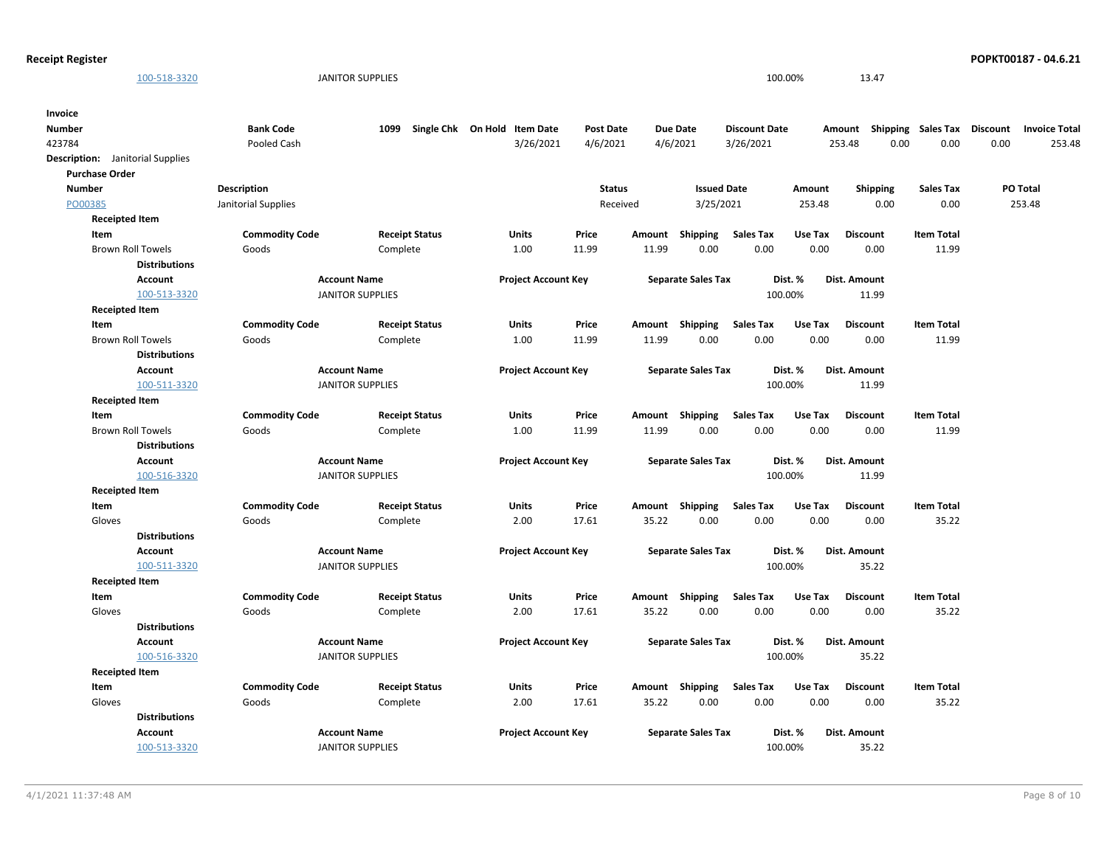**Receipt Register POPKT00187 - 04.6.21**  $\frac{100-518-3320}{100.00\%}$  13.47 423784 Pooled Cash 3/26/2021 4/6/2021 3/26/2021 253.48 0.00 0.00 0.00 253.48 Description: Janitorial Supplies Number **Bank Code** 1099 Single Chk On Hold Item Date Post Date Due Date Discount Date Amount Shipping Sales Tax Discount Invoice Total **Invoice** 0.00 **Discount** 3/26/2021 **Discount Date** PO00385 **Purchase Order** 253.48 **PO Total** 253.48 0.00 0.00 **Issued Date Amount Shipping Sales Tax** 3/25/2021 **Description** Janitorial Supplies **Status** Received **Number** Brown Roll Towels Goods Complete 1.00 11.99 11.99 0.00 0.00 0.00 11.99 **Receipted Item Item Commodity Code Receipt Status Units Price Amount Shipping Sales Tax Use Tax Item Total** 0.00 **Discount Account Project Account Key Separate Sales Tax Dist. % Dist. Amount Distributions Account Name** 100-513-3320 JANITOR SUPPLIES 100.00% 11.99 Brown Roll Towels Goods Complete 1.00 11.99 11.99 0.00 0.00 0.00 11.99 **Receipted Item Item Commodity Code Receipt Status Units Price Amount Shipping Sales Tax Use Tax Item Total** 0.00 **Discount Account Project Account Key Separate Sales Tax Dist. % Dist. Amount Distributions Account Name**  $\frac{100-511-3320}{100.00\%}$  JANITOR SUPPLIES 100.00% 11.99 Brown Roll Towels Goods Complete 1.00 11.99 11.99 0.00 0.00 0.00 11.99 **Receipted Item Item Commodity Code Receipt Status Units Price Amount Shipping Sales Tax Use Tax Item Total** 0.00 **Discount Account Project Account Key Separate Sales Tax Dist. % Dist. Amount Distributions Account Name** 100-516-3320 JANITOR SUPPLIES 100.00% 11.99 Gloves Goods Complete 2.00 17.61 35.22 0.00 0.00 0.00 35.22 **Receipted Item Item Commodity Code Receipt Status Units Price Amount Shipping Sales Tax Use Tax Item Total** 0.00 **Discount Account Project Account Key Separate Sales Tax Dist. % Dist. Amount Distributions Account Name**  $\frac{100-511-3320}{100.00\%}$  35.22 Gloves Goods Complete 2.00 17.61 35.22 0.00 0.00 0.00 35.22 **Receipted Item Item Commodity Code Receipt Status Units Price Amount Shipping Sales Tax Use Tax Item Total** 0.00 **Discount Account Project Account Key Separate Sales Tax Dist. % Dist. Amount Distributions Account Name**  $\frac{100-516-3320}{100.00\%}$  35.22 Gloves Goods Complete 2.00 17.61 35.22 0.00 0.00 0.00 35.22 **Receipted Item Item Commodity Code Receipt Status Units Price Amount Shipping Sales Tax Use Tax Item Total** 0.00 **Discount Account Project Account Key Separate Sales Tax Dist. % Dist. Amount Distributions Account Name**  $\frac{100-513-3320}{100.00\%}$  35.22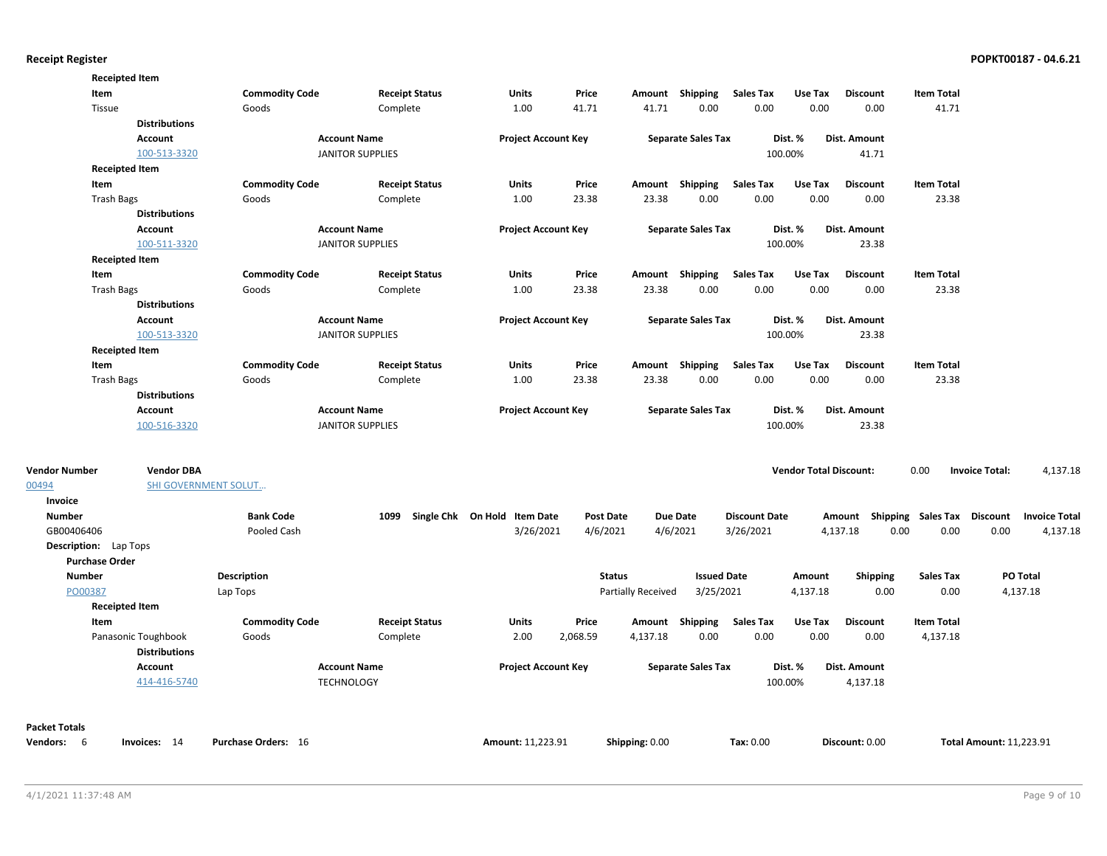| Vendors: 6                   | Invoices: 14                    | <b>Purchase Orders: 16</b> |                                                | Amount: 11,223.91            |               | Shipping: 0.00            |                           | Tax: 0.00            |                               | Discount: 0.00                     |                   | <b>Total Amount: 11,223.91</b> |                      |
|------------------------------|---------------------------------|----------------------------|------------------------------------------------|------------------------------|---------------|---------------------------|---------------------------|----------------------|-------------------------------|------------------------------------|-------------------|--------------------------------|----------------------|
| <b>Packet Totals</b>         |                                 |                            |                                                |                              |               |                           |                           |                      |                               |                                    |                   |                                |                      |
|                              | Account<br>414-416-5740         |                            | <b>Account Name</b><br><b>TECHNOLOGY</b>       | <b>Project Account Key</b>   |               |                           | <b>Separate Sales Tax</b> |                      | Dist. %<br>100.00%            | Dist. Amount<br>4,137.18           |                   |                                |                      |
|                              | <b>Distributions</b>            |                            |                                                |                              |               |                           |                           |                      |                               |                                    |                   |                                |                      |
|                              | Panasonic Toughbook             | Goods                      | Complete                                       | 2.00                         | 2,068.59      | 4,137.18                  | 0.00                      | 0.00                 | 0.00                          | 0.00                               | 4,137.18          |                                |                      |
| Item                         |                                 | <b>Commodity Code</b>      | <b>Receipt Status</b>                          | <b>Units</b>                 | Price         |                           | Amount Shipping           | <b>Sales Tax</b>     | Use Tax                       | <b>Discount</b>                    | <b>Item Total</b> |                                |                      |
|                              | <b>Receipted Item</b>           |                            |                                                |                              |               |                           |                           |                      |                               |                                    |                   |                                |                      |
| PO00387                      |                                 | Lap Tops                   |                                                |                              |               | <b>Partially Received</b> | 3/25/2021                 |                      | 4,137.18                      | 0.00                               | 0.00              |                                | 4,137.18             |
| <b>Number</b>                |                                 | <b>Description</b>         |                                                |                              | <b>Status</b> |                           | <b>Issued Date</b>        |                      | Amount                        | Shipping                           | <b>Sales Tax</b>  |                                | PO Total             |
| <b>Purchase Order</b>        |                                 |                            |                                                |                              |               |                           |                           |                      |                               |                                    |                   |                                |                      |
| <b>Description:</b> Lap Tops |                                 |                            |                                                |                              |               |                           |                           |                      |                               |                                    |                   |                                |                      |
| GB00406406                   |                                 | Pooled Cash                |                                                | 3/26/2021                    | 4/6/2021      |                           | 4/6/2021                  | 3/26/2021            |                               | 4,137.18<br>0.00                   | 0.00              | 0.00                           | 4,137.18             |
| <b>Number</b>                |                                 | <b>Bank Code</b>           | 1099                                           | Single Chk On Hold Item Date | Post Date     |                           | <b>Due Date</b>           | <b>Discount Date</b> |                               | Amount Shipping Sales Tax Discount |                   |                                | <b>Invoice Total</b> |
| Invoice                      |                                 |                            |                                                |                              |               |                           |                           |                      |                               |                                    |                   |                                |                      |
| 00494                        | SHI GOVERNMENT SOLUT            |                            |                                                |                              |               |                           |                           |                      |                               |                                    |                   |                                |                      |
| <b>Vendor Number</b>         | <b>Vendor DBA</b>               |                            |                                                |                              |               |                           |                           |                      | <b>Vendor Total Discount:</b> |                                    | 0.00              | <b>Invoice Total:</b>          | 4,137.18             |
|                              | 100-516-3320                    |                            |                                                |                              |               |                           |                           |                      | 100.00%                       |                                    |                   |                                |                      |
|                              | <b>Account</b>                  |                            | <b>Account Name</b><br><b>JANITOR SUPPLIES</b> | <b>Project Account Key</b>   |               |                           | <b>Separate Sales Tax</b> |                      | Dist. %                       | <b>Dist. Amount</b><br>23.38       |                   |                                |                      |
|                              | <b>Distributions</b>            |                            |                                                |                              |               |                           |                           |                      |                               |                                    |                   |                                |                      |
| <b>Trash Bags</b>            |                                 | Goods                      | Complete                                       | 1.00                         | 23.38         | 23.38                     | 0.00                      | 0.00                 | 0.00                          | 0.00                               | 23.38             |                                |                      |
| Item                         |                                 | <b>Commodity Code</b>      | <b>Receipt Status</b>                          | Units                        | Price         | Amount                    | Shipping                  | <b>Sales Tax</b>     | Use Tax                       | <b>Discount</b>                    | <b>Item Total</b> |                                |                      |
|                              | <b>Receipted Item</b>           |                            |                                                |                              |               |                           |                           |                      |                               |                                    |                   |                                |                      |
|                              | 100-513-3320                    |                            | <b>JANITOR SUPPLIES</b>                        |                              |               |                           |                           |                      | 100.00%                       | 23.38                              |                   |                                |                      |
|                              | Account                         |                            | <b>Account Name</b>                            | <b>Project Account Key</b>   |               |                           | <b>Separate Sales Tax</b> |                      | Dist. %                       | Dist. Amount                       |                   |                                |                      |
|                              | <b>Distributions</b>            |                            |                                                |                              |               |                           |                           |                      |                               |                                    |                   |                                |                      |
| <b>Trash Bags</b>            |                                 | Goods                      | Complete                                       | 1.00                         | 23.38         | 23.38                     | 0.00                      | 0.00                 | 0.00                          | 0.00                               | 23.38             |                                |                      |
| Item                         |                                 | <b>Commodity Code</b>      | <b>Receipt Status</b>                          | Units                        | Price         |                           | Amount Shipping           | <b>Sales Tax</b>     | Use Tax                       | <b>Discount</b>                    | <b>Item Total</b> |                                |                      |
|                              | <b>Receipted Item</b>           |                            |                                                |                              |               |                           |                           |                      |                               |                                    |                   |                                |                      |
|                              | 100-511-3320                    |                            | <b>JANITOR SUPPLIES</b>                        |                              |               |                           |                           |                      | 100.00%                       | 23.38                              |                   |                                |                      |
|                              | Account                         |                            | <b>Account Name</b>                            | <b>Project Account Key</b>   |               |                           | <b>Separate Sales Tax</b> |                      | Dist. %                       | Dist. Amount                       |                   |                                |                      |
|                              | <b>Distributions</b>            |                            |                                                |                              |               |                           |                           |                      |                               |                                    |                   |                                |                      |
| <b>Trash Bags</b>            |                                 | Goods                      | Complete                                       | 1.00                         | 23.38         | 23.38                     | 0.00                      | 0.00                 | 0.00                          | 0.00                               | 23.38             |                                |                      |
| Item                         |                                 | <b>Commodity Code</b>      | <b>Receipt Status</b>                          | Units                        | Price         |                           | Amount Shipping           | <b>Sales Tax</b>     | Use Tax                       | <b>Discount</b>                    | <b>Item Total</b> |                                |                      |
|                              | <b>Receipted Item</b>           |                            |                                                |                              |               |                           |                           |                      |                               |                                    |                   |                                |                      |
|                              | 100-513-3320                    |                            | <b>JANITOR SUPPLIES</b>                        |                              |               |                           |                           |                      | 100.00%                       | 41.71                              |                   |                                |                      |
|                              | <b>Distributions</b><br>Account |                            | <b>Account Name</b>                            | <b>Project Account Key</b>   |               |                           | <b>Separate Sales Tax</b> |                      | Dist. %                       | Dist. Amount                       |                   |                                |                      |
| Tissue                       |                                 | Goods                      | Complete                                       | 1.00                         | 41.71         | 41.71                     | 0.00                      | 0.00                 | 0.00                          | 0.00                               | 41.71             |                                |                      |
| Item                         |                                 | <b>Commodity Code</b>      | <b>Receipt Status</b>                          | <b>Units</b>                 | Price         |                           | Amount Shipping           | <b>Sales Tax</b>     | Use Tax                       | <b>Discount</b>                    | <b>Item Total</b> |                                |                      |
|                              | <b>Receipted Item</b>           |                            |                                                |                              |               |                           |                           |                      |                               |                                    |                   |                                |                      |
|                              |                                 |                            |                                                |                              |               |                           |                           |                      |                               |                                    |                   |                                |                      |